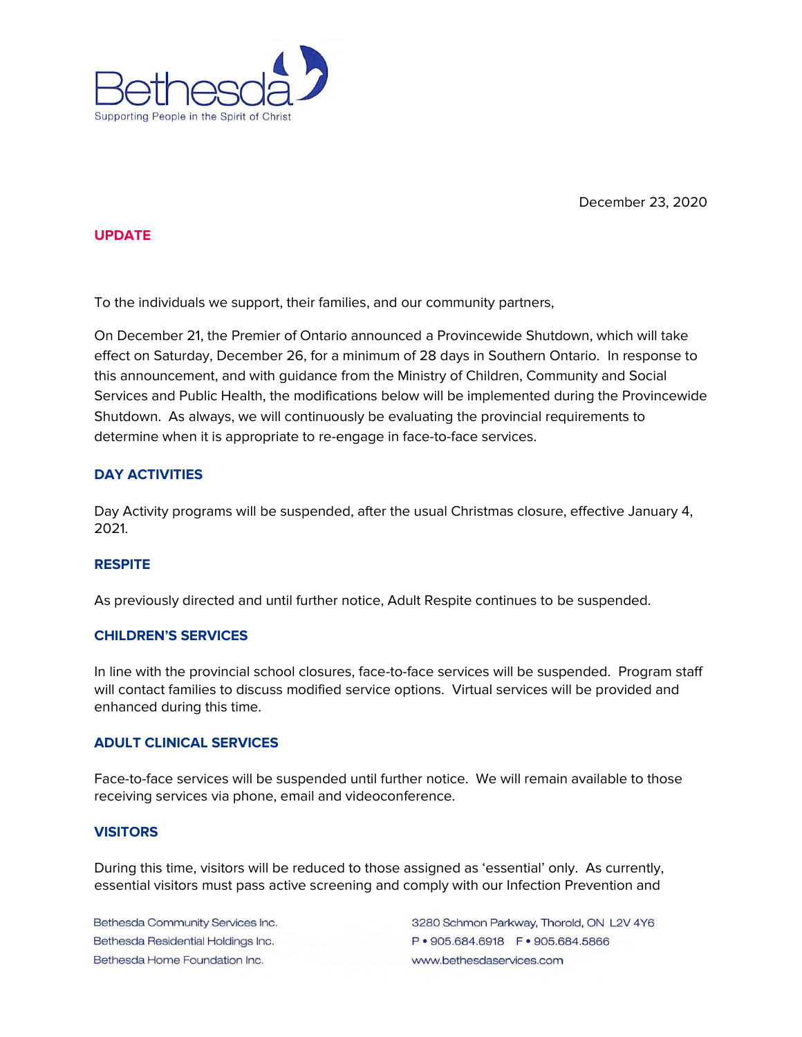

December 23, 2020

#### **UPDATE**

To the individuals we support, their families, and our community partners,

On December 21, the Premier of Ontario announced a Provincewide Shutdown, which will take effect on Saturday, December 26, for a minimum of 28 days in Southern Ontario. In response to this announcement, and with guidance from the Ministry of Children, Community and Social Services and Public Health, the modifications below will be implemented during the Provincewide Shutdown. As always, we will continuously be evaluating the provincial requirements to determine when it is appropriate to re-engage in face-to-face services.

# **DAY ACTIVITIES**

Day Activity programs will be suspended, after the usual Christmas closure, effective January 4, 2021.

#### **RESPITE**

As previously directed and until further notice, Adult Respite continues to be suspended.

#### **CHILDREN'S SERVICES**

In line with the provincial school closures, face-to-face services will be suspended. Program staff will contact families to discuss modified service options. Virtual services will be provided and enhanced during this time.

### **ADULT CLINICAL SERVICES**

Face-to-face services will be suspended until further notice. We will remain available to those receiving services via phone, email and videoconference.

# **VISITORS**

During this time, visitors will be reduced to those assigned as 'essential' only. As currently, essential visitors must pass active screening and comply with our Infection Prevention and

Bethesda Community Services Inc. Bethesda Residential Holdings Inc. Bethesda Home Foundation Inc.

3280 Schmon Parkway, Thorold, ON L2V 4Y6 P · 905.684.6918 F · 905.684.5866 www.bethesdaservices.com